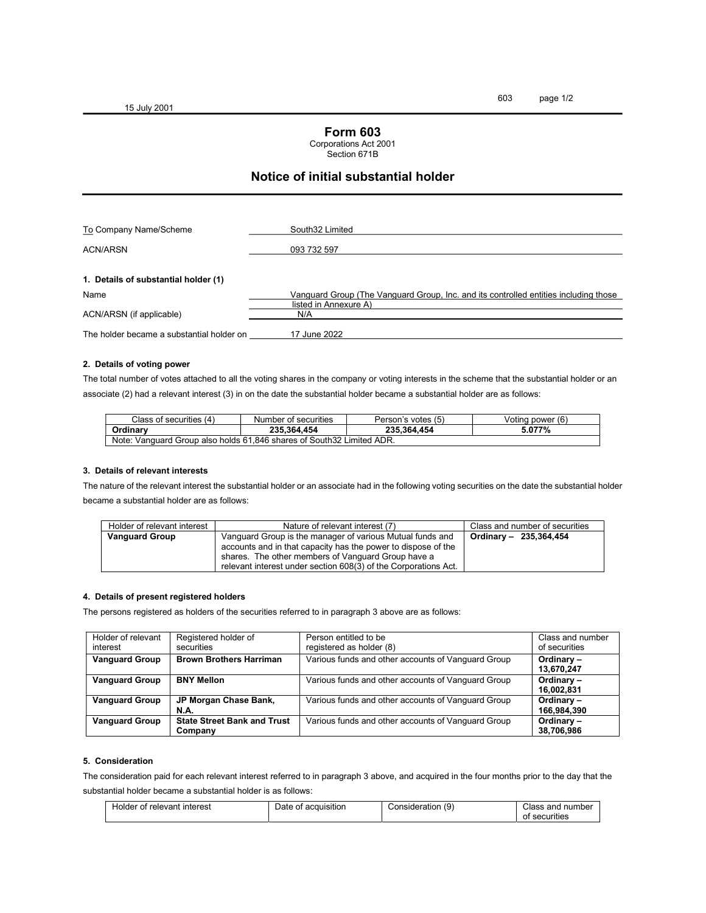15 July 2001

## Form 603

Corporations Act 2001

Section 671B

# Notice of initial substantial holder

| To Company Name/Scheme                    | South32 Limited                                                                      |
|-------------------------------------------|--------------------------------------------------------------------------------------|
|                                           |                                                                                      |
| <b>ACN/ARSN</b>                           | 093 732 597                                                                          |
|                                           |                                                                                      |
| 1. Details of substantial holder (1)      |                                                                                      |
| Name                                      | Vanguard Group (The Vanguard Group, Inc. and its controlled entities including those |
|                                           | listed in Annexure A)                                                                |
| ACN/ARSN (if applicable)                  | N/A                                                                                  |
|                                           |                                                                                      |
| The holder became a substantial holder on | 17 June 2022                                                                         |

#### 2. Details of voting power

The total number of votes attached to all the voting shares in the company or voting interests in the scheme that the substantial holder or an associate (2) had a relevant interest (3) in on the date the substantial holder became a substantial holder are as follows:

| Class of securities (4)                                               | Number of securities | Person's votes (5) | Voting power (6) |  |  |  |
|-----------------------------------------------------------------------|----------------------|--------------------|------------------|--|--|--|
| <b>Ordinary</b>                                                       | 235.364.454          | 235.364.454        | 5.077%           |  |  |  |
| Note: Vanguard Group also holds 61,846 shares of South32 Limited ADR. |                      |                    |                  |  |  |  |

#### 3. Details of relevant interests

The nature of the relevant interest the substantial holder or an associate had in the following voting securities on the date the substantial holder became a substantial holder are as follows:

| Holder of relevant interest | Nature of relevant interest (7)                                 | Class and number of securities |
|-----------------------------|-----------------------------------------------------------------|--------------------------------|
| <b>Vanguard Group</b>       | Vanguard Group is the manager of various Mutual funds and       | Ordinary - 235.364.454         |
|                             | accounts and in that capacity has the power to dispose of the   |                                |
|                             | shares. The other members of Vanguard Group have a              |                                |
|                             | relevant interest under section 608(3) of the Corporations Act. |                                |

#### 4. Details of present registered holders

The persons registered as holders of the securities referred to in paragraph 3 above are as follows:

| Holder of relevant<br>interest | Registered holder of<br>securities            | Person entitled to be<br>registered as holder (8)  | Class and number<br>of securities |
|--------------------------------|-----------------------------------------------|----------------------------------------------------|-----------------------------------|
| <b>Vanguard Group</b>          | <b>Brown Brothers Harriman</b>                | Various funds and other accounts of Vanguard Group | Ordinary-<br>13,670,247           |
| <b>Vanguard Group</b>          | <b>BNY Mellon</b>                             | Various funds and other accounts of Vanguard Group | Ordinary-<br>16,002,831           |
| <b>Vanguard Group</b>          | JP Morgan Chase Bank,<br><b>N.A.</b>          | Various funds and other accounts of Vanguard Group | Ordinary-<br>166,984,390          |
| <b>Vanguard Group</b>          | <b>State Street Bank and Trust</b><br>Company | Various funds and other accounts of Vanguard Group | Ordinary-<br>38,706,986           |

#### 5. Consideration

The consideration paid for each relevant interest referred to in paragraph 3 above, and acquired in the four months prior to the day that the substantial holder became a substantial holder is as follows:

| interest<br>relevant<br>nt<br>Holder | acquisition<br>. nt<br>Jate | `onsideratior.<br>,u<br>w | number<br>and<br>.ner<br>ass.<br>ecurities: |
|--------------------------------------|-----------------------------|---------------------------|---------------------------------------------|
|                                      |                             |                           | .                                           |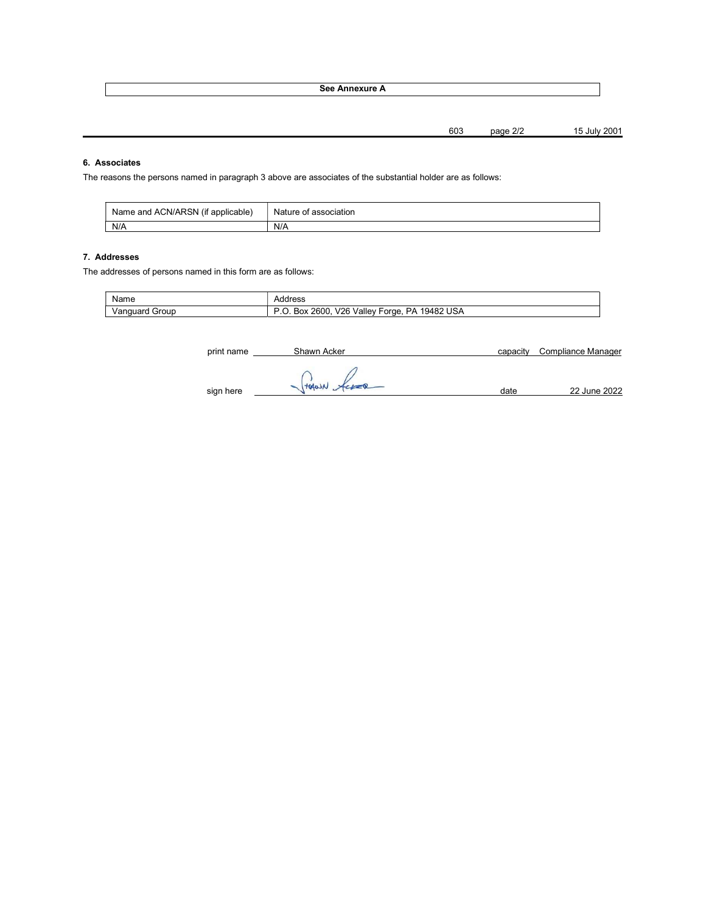See Annexure A

603 page 2/2 15 July 2001

## 6. Associates

The reasons the persons named in paragraph 3 above are associates of the substantial holder are as follows:

| Name and ACN/ARSN, | Nature of a |
|--------------------|-------------|
| (if applicable)    | association |
| N/A                | N/A         |

### 7. Addresses

The addresses of persons named in this form are as follows:

| Name              | Address                                                                           |
|-------------------|-----------------------------------------------------------------------------------|
| Vanguard<br>Group | <b>USA</b><br>. .<br>19482<br>V2F<br>2600.<br>PΔ<br>Valle∖<br>orge.<br>BOX<br>. J |

| print name | Shawn Acker | capacity | Compliance Manager |
|------------|-------------|----------|--------------------|
| sign here  | HAWN Acces  | date     | 22 June 2022       |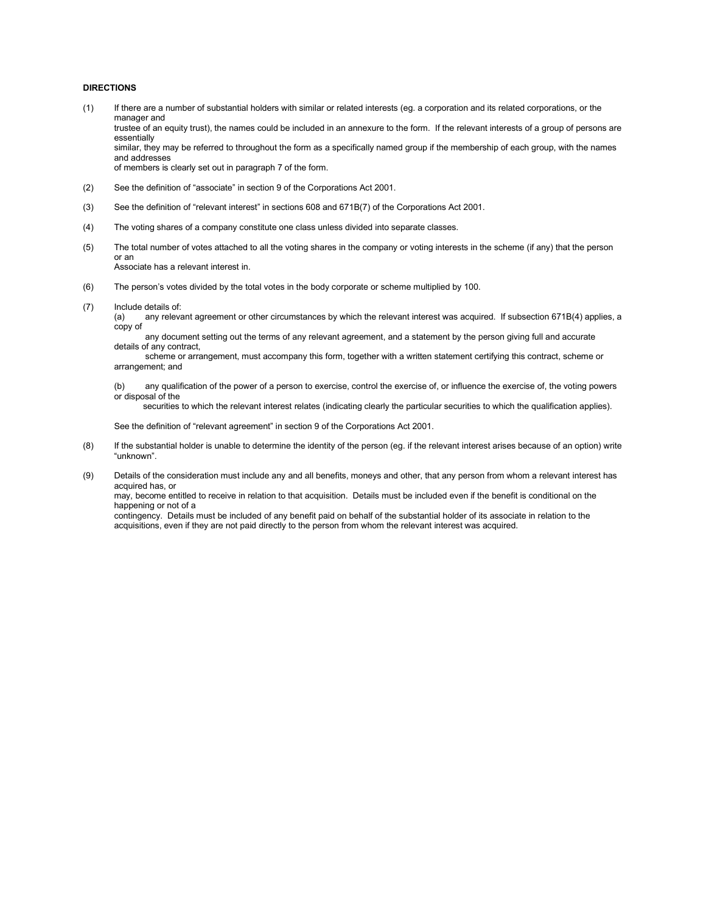#### DIRECTIONS

- (1) If there are a number of substantial holders with similar or related interests (eg. a corporation and its related corporations, or the manager and trustee of an equity trust), the names could be included in an annexure to the form. If the relevant interests of a group of persons are essentially similar, they may be referred to throughout the form as a specifically named group if the membership of each group, with the names and addresses of members is clearly set out in paragraph 7 of the form.
- (2) See the definition of "associate" in section 9 of the Corporations Act 2001.
- (3) See the definition of "relevant interest" in sections 608 and 671B(7) of the Corporations Act 2001.
- (4) The voting shares of a company constitute one class unless divided into separate classes.
- (5) The total number of votes attached to all the voting shares in the company or voting interests in the scheme (if any) that the person or an Associate has a relevant interest in.
- (6) The person's votes divided by the total votes in the body corporate or scheme multiplied by 100.
- (7) Include details of:
	- (a) any relevant agreement or other circumstances by which the relevant interest was acquired. If subsection 671B(4) applies, a copy of
	- any document setting out the terms of any relevant agreement, and a statement by the person giving full and accurate details of any contract,

 scheme or arrangement, must accompany this form, together with a written statement certifying this contract, scheme or arrangement; and

(b) any qualification of the power of a person to exercise, control the exercise of, or influence the exercise of, the voting powers or disposal of the

securities to which the relevant interest relates (indicating clearly the particular securities to which the qualification applies).

See the definition of "relevant agreement" in section 9 of the Corporations Act 2001.

- (8) If the substantial holder is unable to determine the identity of the person (eg. if the relevant interest arises because of an option) write "unknown".
- (9) Details of the consideration must include any and all benefits, moneys and other, that any person from whom a relevant interest has acquired has, or

 may, become entitled to receive in relation to that acquisition. Details must be included even if the benefit is conditional on the happening or not of a

 contingency. Details must be included of any benefit paid on behalf of the substantial holder of its associate in relation to the acquisitions, even if they are not paid directly to the person from whom the relevant interest was acquired.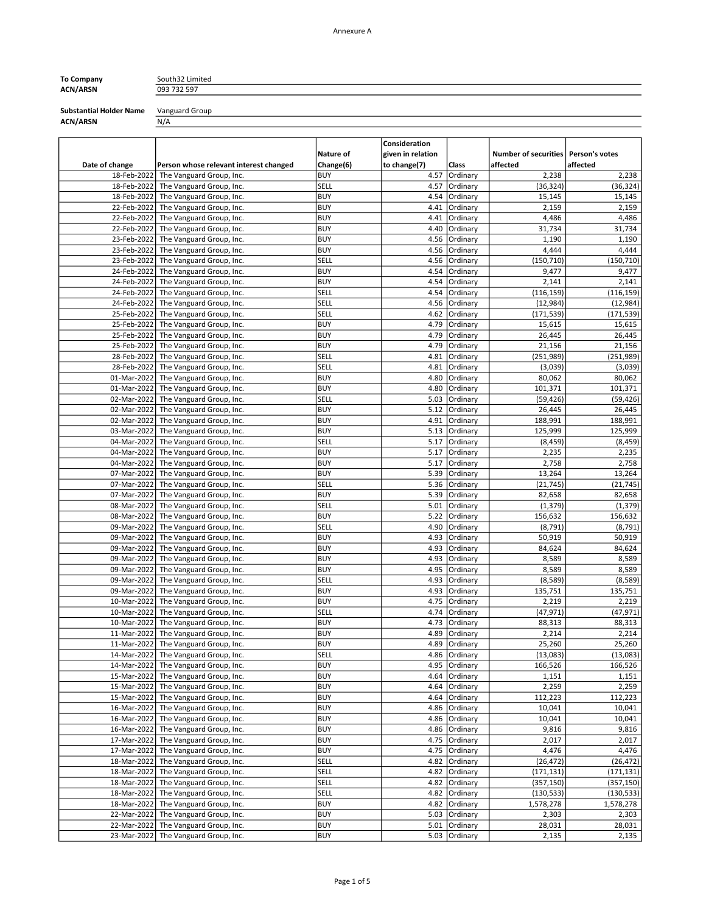# ACN/ARSN 093 732 597

To Company South32 Limited

Substantial Holder Name Vanguard Group<br>ACN/ARSN  $\frac{V \text{a} \text{v}}{N/A}$ ACN/ARSN

| Date of change             | Person whose relevant interest changed               | Nature of<br>Change(6) | Consideration<br>given in relation<br>to change(7) | Class                | Number of securities   Person's votes<br>affected | affected              |
|----------------------------|------------------------------------------------------|------------------------|----------------------------------------------------|----------------------|---------------------------------------------------|-----------------------|
| 18-Feb-2022                | The Vanguard Group, Inc.                             | <b>BUY</b>             | 4.57                                               | Ordinary             | 2,238                                             | 2,238                 |
| 18-Feb-2022                | The Vanguard Group, Inc.                             | SELL                   | 4.57                                               | Ordinary             | (36, 324)                                         | (36, 324)             |
| 18-Feb-2022                | The Vanguard Group, Inc.                             | <b>BUY</b>             | 4.54                                               | Ordinary             | 15,145                                            | 15,145                |
| 22-Feb-2022                | The Vanguard Group, Inc.                             | <b>BUY</b>             | 4.41                                               | Ordinary             | 2,159                                             | 2,159                 |
| 22-Feb-2022                | The Vanguard Group, Inc.                             | <b>BUY</b>             | 4.41                                               | Ordinary             | 4,486                                             | 4,486                 |
| 22-Feb-2022                | The Vanguard Group, Inc.                             | <b>BUY</b>             | 4.40                                               | Ordinary             | 31,734                                            | 31,734                |
| 23-Feb-2022                | The Vanguard Group, Inc.                             | <b>BUY</b>             | 4.56                                               | Ordinary             | 1,190                                             | 1,190                 |
| 23-Feb-2022                | The Vanguard Group, Inc.                             | <b>BUY</b>             | 4.56                                               | Ordinary             | 4,444                                             | 4,444                 |
| 23-Feb-2022                | The Vanguard Group, Inc.                             | SELL                   | 4.56                                               | Ordinary             | (150, 710)                                        | (150, 710)            |
| 24-Feb-2022                | The Vanguard Group, Inc.                             | <b>BUY</b>             | 4.54                                               | Ordinary             | 9,477                                             | 9,477                 |
| 24-Feb-2022                | The Vanguard Group, Inc.                             | <b>BUY</b>             | 4.54                                               | Ordinary             | 2,141                                             | 2,141                 |
| 24-Feb-2022                | The Vanguard Group, Inc.                             | SELL                   | 4.54                                               | Ordinary             | (116, 159)                                        | (116, 159)            |
| 24-Feb-2022                | The Vanguard Group, Inc.                             | SELL                   | 4.56                                               | Ordinary             | (12, 984)                                         | (12, 984)             |
| 25-Feb-2022                | The Vanguard Group, Inc.                             | SELL                   | 4.62                                               | Ordinary             | (171, 539)                                        | (171, 539)            |
| 25-Feb-2022                | The Vanguard Group, Inc.                             | <b>BUY</b>             | 4.79                                               | Ordinary             | 15,615                                            | 15,615                |
| 25-Feb-2022                | The Vanguard Group, Inc.                             | <b>BUY</b>             | 4.79                                               | Ordinary             | 26,445                                            | 26,445                |
| 25-Feb-2022                | The Vanguard Group, Inc.                             | <b>BUY</b><br>SELL     | 4.79<br>4.81                                       | Ordinary             | 21,156                                            | 21,156                |
| 28-Feb-2022<br>28-Feb-2022 | The Vanguard Group, Inc.                             | SELL                   | 4.81                                               | Ordinary<br>Ordinary | (251, 989)<br>(3,039)                             | (251, 989)<br>(3,039) |
| 01-Mar-2022                | The Vanguard Group, Inc.<br>The Vanguard Group, Inc. | <b>BUY</b>             | 4.80                                               | Ordinary             | 80,062                                            | 80,062                |
| 01-Mar-2022                | The Vanguard Group, Inc.                             | <b>BUY</b>             | 4.80                                               | Ordinary             | 101,371                                           | 101,371               |
| 02-Mar-2022                | The Vanguard Group, Inc.                             | SELL                   | 5.03                                               | Ordinary             | (59, 426)                                         | (59, 426)             |
| 02-Mar-2022                | The Vanguard Group, Inc.                             | <b>BUY</b>             | 5.12                                               | Ordinary             | 26,445                                            | 26,445                |
| 02-Mar-2022                | The Vanguard Group, Inc.                             | <b>BUY</b>             | 4.91                                               | Ordinary             | 188,991                                           | 188,991               |
| 03-Mar-2022                | The Vanguard Group, Inc.                             | <b>BUY</b>             | 5.13                                               | Ordinary             | 125,999                                           | 125,999               |
| 04-Mar-2022                | The Vanguard Group, Inc.                             | SELL                   | 5.17                                               | Ordinary             | (8, 459)                                          | (8, 459)              |
| 04-Mar-2022                | The Vanguard Group, Inc.                             | <b>BUY</b>             | 5.17                                               | Ordinary             | 2,235                                             | 2,235                 |
| 04-Mar-2022                | The Vanguard Group, Inc.                             | <b>BUY</b>             | 5.17                                               | Ordinary             | 2,758                                             | 2,758                 |
| 07-Mar-2022                | The Vanguard Group, Inc.                             | <b>BUY</b>             | 5.39                                               | Ordinary             | 13,264                                            | 13,264                |
| 07-Mar-2022                | The Vanguard Group, Inc.                             | SELL                   | 5.36                                               | Ordinary             | (21, 745)                                         | (21, 745)             |
| 07-Mar-2022                | The Vanguard Group, Inc.                             | <b>BUY</b>             | 5.39                                               | Ordinary             | 82,658                                            | 82,658                |
| 08-Mar-2022                | The Vanguard Group, Inc.                             | SELL                   | 5.01                                               | Ordinary             | (1, 379)                                          | (1, 379)              |
| 08-Mar-2022                | The Vanguard Group, Inc.                             | <b>BUY</b>             | 5.22                                               | Ordinary             | 156,632                                           | 156,632               |
| 09-Mar-2022                | The Vanguard Group, Inc.                             | SELL                   | 4.90                                               | Ordinary             | (8, 791)                                          | (8, 791)              |
| 09-Mar-2022                | The Vanguard Group, Inc.                             | <b>BUY</b>             | 4.93                                               | Ordinary             | 50,919                                            | 50,919                |
| 09-Mar-2022                | The Vanguard Group, Inc.                             | <b>BUY</b>             | 4.93                                               | Ordinary             | 84,624                                            | 84,624                |
| 09-Mar-2022                | The Vanguard Group, Inc.                             | <b>BUY</b>             | 4.93                                               | Ordinary             | 8,589                                             | 8,589                 |
| 09-Mar-2022                | The Vanguard Group, Inc.                             | <b>BUY</b>             | 4.95                                               | Ordinary             | 8,589                                             | 8,589                 |
| 09-Mar-2022                | The Vanguard Group, Inc.                             | SELL                   | 4.93                                               | Ordinary             | (8, 589)                                          | (8, 589)              |
| 09-Mar-2022                | The Vanguard Group, Inc.                             | <b>BUY</b>             | 4.93                                               | Ordinary             | 135,751                                           | 135,751               |
| 10-Mar-2022                | The Vanguard Group, Inc.                             | <b>BUY</b>             | 4.75                                               | Ordinary             | 2,219                                             | 2,219                 |
| 10-Mar-2022                | The Vanguard Group, Inc.                             | SELL<br><b>BUY</b>     | 4.74<br>4.73                                       | Ordinary             | (47, 971)                                         | (47, 971)             |
| 10-Mar-2022<br>11-Mar-2022 | The Vanguard Group, Inc.<br>The Vanguard Group, Inc. | <b>BUY</b>             | 4.89                                               | Ordinary<br>Ordinary | 88,313<br>2,214                                   | 88,313<br>2,214       |
| 11-Mar-2022                | The Vanguard Group, Inc.                             | <b>BUY</b>             | 4.89                                               | Ordinary             | 25,260                                            | 25,260                |
|                            | 14-Mar-2022 The Vanguard Group, Inc.                 | SELL                   |                                                    | 4.86 Ordinary        | (13,083)                                          | (13,083)              |
| 14-Mar-2022                | The Vanguard Group, Inc.                             | <b>BUY</b>             |                                                    | 4.95 Ordinary        | 166,526                                           | 166,526               |
| 15-Mar-2022                | The Vanguard Group, Inc.                             | <b>BUY</b>             | 4.64                                               | Ordinary             | 1,151                                             | 1,151                 |
| 15-Mar-2022                | The Vanguard Group, Inc.                             | <b>BUY</b>             | 4.64                                               | Ordinary             | 2,259                                             | 2,259                 |
| 15-Mar-2022                | The Vanguard Group, Inc.                             | <b>BUY</b>             | 4.64                                               | Ordinary             | 112,223                                           | 112,223               |
| 16-Mar-2022                | The Vanguard Group, Inc.                             | <b>BUY</b>             | 4.86                                               | Ordinary             | 10,041                                            | 10,041                |
| 16-Mar-2022                | The Vanguard Group, Inc.                             | <b>BUY</b>             | 4.86                                               | Ordinary             | 10,041                                            | 10,041                |
| 16-Mar-2022                | The Vanguard Group, Inc.                             | <b>BUY</b>             | 4.86                                               | Ordinary             | 9,816                                             | 9,816                 |
| 17-Mar-2022                | The Vanguard Group, Inc.                             | <b>BUY</b>             | 4.75                                               | Ordinary             | 2,017                                             | 2,017                 |
| 17-Mar-2022                | The Vanguard Group, Inc.                             | <b>BUY</b>             | 4.75                                               | Ordinary             | 4,476                                             | 4,476                 |
| 18-Mar-2022                | The Vanguard Group, Inc.                             | SELL                   | 4.82                                               | Ordinary             | (26, 472)                                         | (26, 472)             |
| 18-Mar-2022                | The Vanguard Group, Inc.                             | SELL                   | 4.82                                               | Ordinary             | (171,131)                                         | (171,131)             |
| 18-Mar-2022                | The Vanguard Group, Inc.                             | SELL                   | 4.82                                               | Ordinary             | (357, 150)                                        | (357, 150)            |
| 18-Mar-2022                | The Vanguard Group, Inc.                             | SELL                   | 4.82                                               | Ordinary             | (130, 533)                                        | (130, 533)            |
| 18-Mar-2022                | The Vanguard Group, Inc.                             | <b>BUY</b>             | 4.82                                               | Ordinary             | 1,578,278                                         | 1,578,278             |
| 22-Mar-2022                | The Vanguard Group, Inc.                             | <b>BUY</b>             | 5.03                                               | Ordinary             | 2,303                                             | 2,303                 |
| 22-Mar-2022                | The Vanguard Group, Inc.                             | <b>BUY</b>             | 5.01                                               | Ordinary             | 28,031                                            | 28,031                |
| 23-Mar-2022                | The Vanguard Group, Inc.                             | <b>BUY</b>             | 5.03                                               | Ordinary             | 2,135                                             | 2,135                 |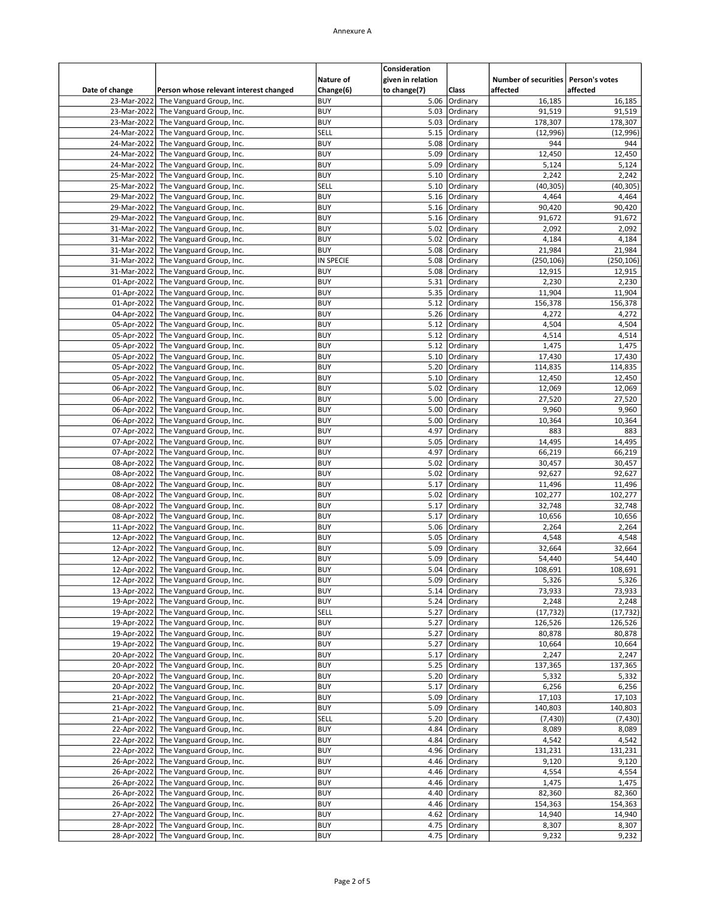|                            |                                                      | Nature of                | Consideration<br>given in relation |                      | Number of securities   Person's votes |                      |
|----------------------------|------------------------------------------------------|--------------------------|------------------------------------|----------------------|---------------------------------------|----------------------|
| Date of change             | Person whose relevant interest changed               | Change(6)                | to change(7)                       | Class                | affected                              | affected             |
| 23-Mar-2022                | The Vanguard Group, Inc.                             | <b>BUY</b>               | 5.06                               | Ordinary             | 16,185                                | 16,185               |
| 23-Mar-2022<br>23-Mar-2022 | The Vanguard Group, Inc.<br>The Vanguard Group, Inc. | <b>BUY</b><br><b>BUY</b> | 5.03<br>5.03                       | Ordinary<br>Ordinary | 91,519<br>178,307                     | 91,519<br>178,307    |
| 24-Mar-2022                | The Vanguard Group, Inc.                             | SELL                     | 5.15                               | Ordinary             | (12,996)                              | (12,996)             |
| 24-Mar-2022                | The Vanguard Group, Inc.                             | <b>BUY</b>               | 5.08                               | Ordinary             | 944                                   | 944                  |
| 24-Mar-2022                | The Vanguard Group, Inc.                             | <b>BUY</b>               | 5.09                               | Ordinary             | 12,450                                | 12,450               |
| 24-Mar-2022                | The Vanguard Group, Inc.                             | <b>BUY</b>               | 5.09                               | Ordinary             | 5,124                                 | 5,124                |
| 25-Mar-2022                | The Vanguard Group, Inc.                             | <b>BUY</b>               | 5.10                               | Ordinary             | 2,242                                 | 2,242                |
| 25-Mar-2022                | The Vanguard Group, Inc.                             | SELL                     | 5.10                               | Ordinary             | (40, 305)                             | (40, 305)            |
| 29-Mar-2022<br>29-Mar-2022 | The Vanguard Group, Inc.<br>The Vanguard Group, Inc. | <b>BUY</b><br><b>BUY</b> | 5.16<br>5.16                       | Ordinary<br>Ordinary | 4,464<br>90,420                       | 4,464<br>90,420      |
| 29-Mar-2022                | The Vanguard Group, Inc.                             | <b>BUY</b>               | 5.16                               | Ordinary             | 91,672                                | 91,672               |
| 31-Mar-2022                | The Vanguard Group, Inc.                             | <b>BUY</b>               | 5.02                               | Ordinary             | 2,092                                 | 2,092                |
| 31-Mar-2022                | The Vanguard Group, Inc.                             | <b>BUY</b>               | 5.02                               | Ordinary             | 4,184                                 | 4,184                |
| 31-Mar-2022                | The Vanguard Group, Inc.                             | <b>BUY</b>               | 5.08                               | Ordinary             | 21,984                                | 21,984               |
| 31-Mar-2022                | The Vanguard Group, Inc.                             | IN SPECIE                | 5.08                               | Ordinary             | (250, 106)                            | (250, 106)           |
| 31-Mar-2022                | The Vanguard Group, Inc.                             | <b>BUY</b><br><b>BUY</b> | 5.08                               | Ordinary             | 12,915                                | 12,915               |
| 01-Apr-2022<br>01-Apr-2022 | The Vanguard Group, Inc.<br>The Vanguard Group, Inc. | <b>BUY</b>               | 5.31<br>5.35                       | Ordinary<br>Ordinary | 2,230<br>11,904                       | 2,230<br>11,904      |
| 01-Apr-2022                | The Vanguard Group, Inc.                             | <b>BUY</b>               | 5.12                               | Ordinary             | 156,378                               | 156,378              |
| 04-Apr-2022                | The Vanguard Group, Inc.                             | <b>BUY</b>               | 5.26                               | Ordinary             | 4,272                                 | 4,272                |
| 05-Apr-2022                | The Vanguard Group, Inc.                             | <b>BUY</b>               | 5.12                               | Ordinary             | 4,504                                 | 4,504                |
| 05-Apr-2022                | The Vanguard Group, Inc.                             | <b>BUY</b>               | 5.12                               | Ordinary             | 4,514                                 | 4,514                |
| 05-Apr-2022                | The Vanguard Group, Inc.                             | <b>BUY</b>               | 5.12                               | Ordinary             | 1,475                                 | 1,475                |
| 05-Apr-2022<br>05-Apr-2022 | The Vanguard Group, Inc.                             | <b>BUY</b><br><b>BUY</b> | 5.10                               | Ordinary<br>Ordinary | 17,430                                | 17,430               |
| 05-Apr-2022                | The Vanguard Group, Inc.<br>The Vanguard Group, Inc. | <b>BUY</b>               | 5.20<br>5.10                       | Ordinary             | 114,835<br>12,450                     | 114,835<br>12,450    |
| 06-Apr-2022                | The Vanguard Group, Inc.                             | <b>BUY</b>               | 5.02                               | Ordinary             | 12,069                                | 12,069               |
| 06-Apr-2022                | The Vanguard Group, Inc.                             | <b>BUY</b>               | 5.00                               | Ordinary             | 27,520                                | 27,520               |
| 06-Apr-2022                | The Vanguard Group, Inc.                             | <b>BUY</b>               | 5.00                               | Ordinary             | 9,960                                 | 9,960                |
| 06-Apr-2022                | The Vanguard Group, Inc.                             | <b>BUY</b>               | 5.00                               | Ordinary             | 10,364                                | 10,364               |
| 07-Apr-2022                | The Vanguard Group, Inc.                             | <b>BUY</b>               | 4.97                               | Ordinary             | 883                                   | 883                  |
| 07-Apr-2022<br>07-Apr-2022 | The Vanguard Group, Inc.<br>The Vanguard Group, Inc. | <b>BUY</b><br><b>BUY</b> | 5.05<br>4.97                       | Ordinary<br>Ordinary | 14,495<br>66,219                      | 14,495<br>66,219     |
| 08-Apr-2022                | The Vanguard Group, Inc.                             | <b>BUY</b>               | 5.02                               | Ordinary             | 30,457                                | 30,457               |
| 08-Apr-2022                | The Vanguard Group, Inc.                             | <b>BUY</b>               | 5.02                               | Ordinary             | 92,627                                | 92,627               |
| 08-Apr-2022                | The Vanguard Group, Inc.                             | <b>BUY</b>               | 5.17                               | Ordinary             | 11,496                                | 11,496               |
| 08-Apr-2022                | The Vanguard Group, Inc.                             | <b>BUY</b>               | 5.02                               | Ordinary             | 102,277                               | 102,277              |
| 08-Apr-2022                | The Vanguard Group, Inc.                             | <b>BUY</b>               | 5.17                               | Ordinary             | 32,748                                | 32,748               |
| 08-Apr-2022                | The Vanguard Group, Inc.                             | <b>BUY</b>               | 5.17                               | Ordinary             | 10,656                                | 10,656               |
| 11-Apr-2022<br>12-Apr-2022 | The Vanguard Group, Inc.<br>The Vanguard Group, Inc. | <b>BUY</b><br><b>BUY</b> | 5.06<br>5.05                       | Ordinary<br>Ordinary | 2,264<br>4,548                        | 2,264<br>4,548       |
| 12-Apr-2022                | The Vanguard Group, Inc.                             | <b>BUY</b>               | 5.09                               | Ordinary             | 32,664                                | 32,664               |
| 12-Apr-2022                | The Vanguard Group, Inc.                             | <b>BUY</b>               | 5.09                               | Ordinary             | 54,440                                | 54,440               |
| 12-Apr-2022                | The Vanguard Group, Inc.                             | <b>BUY</b>               | 5.04                               | Ordinary             | 108,691                               | 108,691              |
| 12-Apr-2022                | The Vanguard Group, Inc.                             | <b>BUY</b>               |                                    | 5.09 Ordinary        | 5,326                                 | 5,326                |
| 13-Apr-2022                | The Vanguard Group, Inc.                             | <b>BUY</b>               |                                    | 5.14 Ordinary        | 73,933                                | 73,933               |
| 19-Apr-2022                | The Vanguard Group, Inc.                             | <b>BUY</b>               | 5.24                               | Ordinary             | 2,248                                 | 2,248                |
| 19-Apr-2022<br>19-Apr-2022 | The Vanguard Group, Inc.<br>The Vanguard Group, Inc. | SELL<br><b>BUY</b>       | 5.27<br>5.27                       | Ordinary<br>Ordinary | (17, 732)<br>126,526                  | (17, 732)<br>126,526 |
| 19-Apr-2022                | The Vanguard Group, Inc.                             | <b>BUY</b>               | 5.27                               | Ordinary             | 80,878                                | 80,878               |
| 19-Apr-2022                | The Vanguard Group, Inc.                             | <b>BUY</b>               | 5.27                               | Ordinary             | 10,664                                | 10,664               |
| 20-Apr-2022                | The Vanguard Group, Inc.                             | <b>BUY</b>               | 5.17                               | Ordinary             | 2,247                                 | 2,247                |
| 20-Apr-2022                | The Vanguard Group, Inc.                             | <b>BUY</b>               | 5.25                               | Ordinary             | 137,365                               | 137,365              |
| 20-Apr-2022                | The Vanguard Group, Inc.                             | <b>BUY</b>               | 5.20                               | Ordinary             | 5,332                                 | 5,332                |
| 20-Apr-2022                | The Vanguard Group, Inc.                             | <b>BUY</b>               | 5.17                               | Ordinary             | 6,256                                 | 6,256                |
| 21-Apr-2022<br>21-Apr-2022 | The Vanguard Group, Inc.<br>The Vanguard Group, Inc. | <b>BUY</b><br><b>BUY</b> | 5.09<br>5.09                       | Ordinary<br>Ordinary | 17,103<br>140,803                     | 17,103<br>140,803    |
| 21-Apr-2022                | The Vanguard Group, Inc.                             | SELL                     | 5.20                               | Ordinary             | (7, 430)                              | (7, 430)             |
| 22-Apr-2022                | The Vanguard Group, Inc.                             | <b>BUY</b>               | 4.84                               | Ordinary             | 8,089                                 | 8,089                |
| 22-Apr-2022                | The Vanguard Group, Inc.                             | <b>BUY</b>               | 4.84                               | Ordinary             | 4,542                                 | 4,542                |
| 22-Apr-2022                | The Vanguard Group, Inc.                             | <b>BUY</b>               | 4.96                               | Ordinary             | 131,231                               | 131,231              |
| 26-Apr-2022                | The Vanguard Group, Inc.                             | <b>BUY</b>               | 4.46                               | Ordinary             | 9,120                                 | 9,120                |
| 26-Apr-2022                | The Vanguard Group, Inc.                             | <b>BUY</b>               | 4.46                               | Ordinary             | 4,554                                 | 4,554                |
| 26-Apr-2022<br>26-Apr-2022 | The Vanguard Group, Inc.<br>The Vanguard Group, Inc. | <b>BUY</b><br><b>BUY</b> | 4.46<br>4.40                       | Ordinary<br>Ordinary | 1,475<br>82,360                       | 1,475<br>82,360      |
| 26-Apr-2022                | The Vanguard Group, Inc.                             | <b>BUY</b>               | 4.46                               | Ordinary             | 154,363                               | 154,363              |
| 27-Apr-2022                | The Vanguard Group, Inc.                             | <b>BUY</b>               | 4.62                               | Ordinary             | 14,940                                | 14,940               |
| 28-Apr-2022                | The Vanguard Group, Inc.                             | <b>BUY</b>               | 4.75                               | Ordinary             | 8,307                                 | 8,307                |
| 28-Apr-2022                | The Vanguard Group, Inc.                             | <b>BUY</b>               |                                    | 4.75 Ordinary        | 9,232                                 | 9,232                |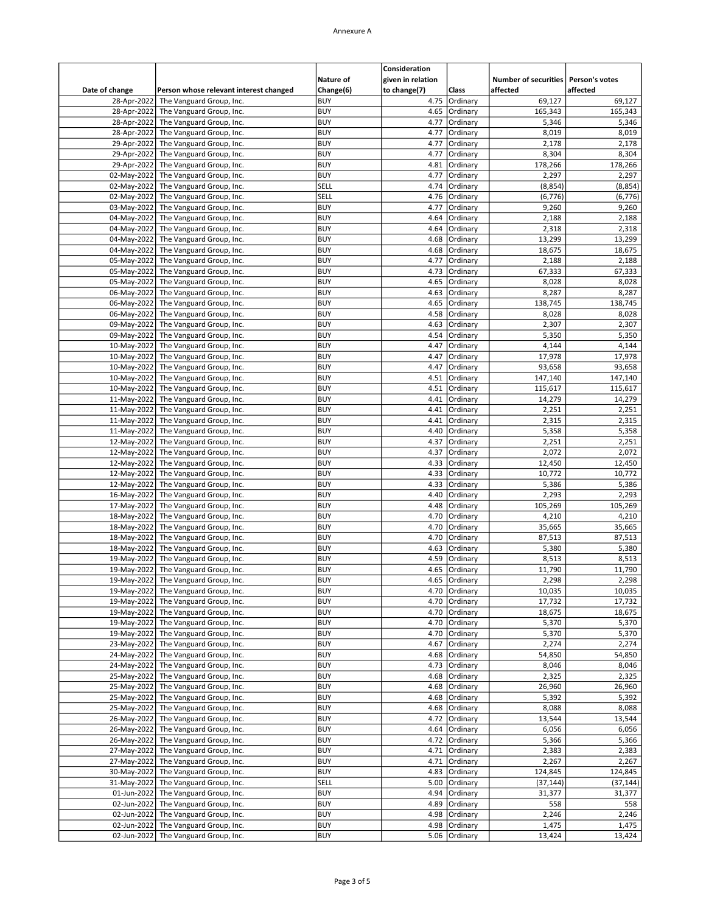|                            |                                                      |                          | Consideration                     |                      |                                                   |                   |
|----------------------------|------------------------------------------------------|--------------------------|-----------------------------------|----------------------|---------------------------------------------------|-------------------|
| Date of change             | Person whose relevant interest changed               | Nature of<br>Change(6)   | given in relation<br>to change(7) | Class                | Number of securities   Person's votes<br>affected | affected          |
| 28-Apr-2022                | The Vanguard Group, Inc.                             | <b>BUY</b>               | 4.75                              | Ordinary             | 69,127                                            | 69,127            |
| 28-Apr-2022                | The Vanguard Group, Inc.                             | <b>BUY</b>               | 4.65                              | Ordinary             | 165,343                                           | 165,343           |
| 28-Apr-2022<br>28-Apr-2022 | The Vanguard Group, Inc.<br>The Vanguard Group, Inc. | <b>BUY</b><br><b>BUY</b> | 4.77<br>4.77                      | Ordinary<br>Ordinary | 5,346<br>8,019                                    | 5,346<br>8,019    |
| 29-Apr-2022                | The Vanguard Group, Inc.                             | <b>BUY</b>               | 4.77                              | Ordinary             | 2,178                                             | 2,178             |
| 29-Apr-2022                | The Vanguard Group, Inc.                             | <b>BUY</b>               | 4.77                              | Ordinary             | 8,304                                             | 8,304             |
| 29-Apr-2022                | The Vanguard Group, Inc.                             | <b>BUY</b>               | 4.81                              | Ordinary             | 178,266                                           | 178,266           |
| 02-May-2022                | The Vanguard Group, Inc.                             | <b>BUY</b>               | 4.77                              | Ordinary             | 2,297                                             | 2,297             |
| 02-May-2022                | The Vanguard Group, Inc.                             | SELL                     | 4.74                              | Ordinary             | (8, 854)                                          | (8, 854)          |
| 02-May-2022                | The Vanguard Group, Inc.                             | SELL<br><b>BUY</b>       | 4.76<br>4.77                      | Ordinary<br>Ordinary | (6, 776)<br>9,260                                 | (6, 776)          |
| 03-May-2022<br>04-May-2022 | The Vanguard Group, Inc.<br>The Vanguard Group, Inc. | <b>BUY</b>               | 4.64                              | Ordinary             | 2,188                                             | 9,260<br>2,188    |
| 04-May-2022                | The Vanguard Group, Inc.                             | <b>BUY</b>               | 4.64                              | Ordinary             | 2,318                                             | 2,318             |
| 04-May-2022                | The Vanguard Group, Inc.                             | <b>BUY</b>               | 4.68                              | Ordinary             | 13,299                                            | 13,299            |
| 04-May-2022                | The Vanguard Group, Inc.                             | <b>BUY</b>               | 4.68                              | Ordinary             | 18,675                                            | 18,675            |
| 05-May-2022                | The Vanguard Group, Inc.                             | <b>BUY</b>               | 4.77                              | Ordinary             | 2,188                                             | 2,188             |
| 05-May-2022                | The Vanguard Group, Inc.                             | <b>BUY</b>               | 4.73                              | Ordinary             | 67,333                                            | 67,333            |
| 05-May-2022<br>06-May-2022 | The Vanguard Group, Inc.<br>The Vanguard Group, Inc. | <b>BUY</b><br><b>BUY</b> | 4.65<br>4.63                      | Ordinary<br>Ordinary | 8,028<br>8,287                                    | 8,028<br>8,287    |
| 06-May-2022                | The Vanguard Group, Inc.                             | <b>BUY</b>               | 4.65                              | Ordinary             | 138,745                                           | 138,745           |
| 06-May-2022                | The Vanguard Group, Inc.                             | <b>BUY</b>               | 4.58                              | Ordinary             | 8,028                                             | 8,028             |
| 09-May-2022                | The Vanguard Group, Inc.                             | <b>BUY</b>               | 4.63                              | Ordinary             | 2,307                                             | 2,307             |
| 09-May-2022                | The Vanguard Group, Inc.                             | <b>BUY</b>               | 4.54                              | Ordinary             | 5,350                                             | 5,350             |
| 10-May-2022                | The Vanguard Group, Inc.                             | <b>BUY</b>               | 4.47                              | Ordinary             | 4,144                                             | 4,144             |
| 10-May-2022                | The Vanguard Group, Inc.                             | <b>BUY</b>               | 4.47                              | Ordinary             | 17,978                                            | 17,978            |
| 10-May-2022<br>10-May-2022 | The Vanguard Group, Inc.<br>The Vanguard Group, Inc. | <b>BUY</b><br><b>BUY</b> | 4.47<br>4.51                      | Ordinary<br>Ordinary | 93,658<br>147,140                                 | 93,658<br>147,140 |
| 10-May-2022                | The Vanguard Group, Inc.                             | <b>BUY</b>               | 4.51                              | Ordinary             | 115,617                                           | 115,617           |
| 11-May-2022                | The Vanguard Group, Inc.                             | <b>BUY</b>               | 4.41                              | Ordinary             | 14,279                                            | 14,279            |
| 11-May-2022                | The Vanguard Group, Inc.                             | <b>BUY</b>               | 4.41                              | Ordinary             | 2,251                                             | 2,251             |
| 11-May-2022                | The Vanguard Group, Inc.                             | <b>BUY</b>               | 4.41                              | Ordinary             | 2,315                                             | 2,315             |
| 11-May-2022                | The Vanguard Group, Inc.                             | <b>BUY</b>               | 4.40                              | Ordinary             | 5,358                                             | 5,358             |
| 12-May-2022                | The Vanguard Group, Inc.                             | <b>BUY</b><br><b>BUY</b> | 4.37                              | Ordinary             | 2,251<br>2,072                                    | 2,251             |
| 12-May-2022<br>12-May-2022 | The Vanguard Group, Inc.<br>The Vanguard Group, Inc. | <b>BUY</b>               | 4.37<br>4.33                      | Ordinary<br>Ordinary | 12,450                                            | 2,072<br>12,450   |
| 12-May-2022                | The Vanguard Group, Inc.                             | <b>BUY</b>               | 4.33                              | Ordinary             | 10,772                                            | 10,772            |
| 12-May-2022                | The Vanguard Group, Inc.                             | <b>BUY</b>               | 4.33                              | Ordinary             | 5,386                                             | 5,386             |
| 16-May-2022                | The Vanguard Group, Inc.                             | <b>BUY</b>               | 4.40                              | Ordinary             | 2,293                                             | 2,293             |
| 17-May-2022                | The Vanguard Group, Inc.                             | <b>BUY</b>               | 4.48                              | Ordinary             | 105,269                                           | 105,269           |
| 18-May-2022                | The Vanguard Group, Inc.                             | <b>BUY</b>               | 4.70                              | Ordinary             | 4,210                                             | 4,210             |
| 18-May-2022                | The Vanguard Group, Inc.                             | <b>BUY</b><br><b>BUY</b> | 4.70<br>4.70                      | Ordinary             | 35,665                                            | 35,665            |
| 18-May-2022<br>18-May-2022 | The Vanguard Group, Inc.<br>The Vanguard Group, Inc. | <b>BUY</b>               | 4.63                              | Ordinary<br>Ordinary | 87,513<br>5,380                                   | 87,513<br>5,380   |
| 19-May-2022                | The Vanguard Group, Inc.                             | <b>BUY</b>               | 4.59                              | Ordinary             | 8,513                                             | 8,513             |
| 19-May-2022                | The Vanguard Group, Inc.                             | <b>BUY</b>               | 4.65                              | Ordinary             | 11,790                                            | 11,790            |
| 19-May-2022                | The Vanguard Group, Inc.                             | BUY                      |                                   | 4.65   Ordinary      | 2,298                                             | 2,298             |
| 19-May-2022                | The Vanguard Group, Inc.                             | <b>BUY</b>               | 4.70                              | Ordinary             | 10,035                                            | 10,035            |
| 19-May-2022                | The Vanguard Group, Inc.                             | <b>BUY</b>               | 4.70                              | Ordinary             | 17,732                                            | 17,732            |
| 19-May-2022                | The Vanguard Group, Inc.                             | <b>BUY</b><br><b>BUY</b> | 4.70                              | Ordinary             | 18,675                                            | 18,675            |
| 19-May-2022<br>19-May-2022 | The Vanguard Group, Inc.<br>The Vanguard Group, Inc. | <b>BUY</b>               | 4.70<br>4.70                      | Ordinary<br>Ordinary | 5,370<br>5,370                                    | 5,370<br>5,370    |
| 23-May-2022                | The Vanguard Group, Inc.                             | <b>BUY</b>               | 4.67                              | Ordinary             | 2,274                                             | 2,274             |
| 24-May-2022                | The Vanguard Group, Inc.                             | <b>BUY</b>               | 4.68                              | Ordinary             | 54,850                                            | 54,850            |
| 24-May-2022                | The Vanguard Group, Inc.                             | <b>BUY</b>               | 4.73                              | Ordinary             | 8,046                                             | 8,046             |
| 25-May-2022                | The Vanguard Group, Inc.                             | <b>BUY</b>               | 4.68                              | Ordinary             | 2,325                                             | 2,325             |
| 25-May-2022                | The Vanguard Group, Inc.                             | <b>BUY</b>               | 4.68                              | Ordinary             | 26,960                                            | 26,960            |
| 25-May-2022                | The Vanguard Group, Inc.                             | <b>BUY</b>               | 4.68                              | Ordinary             | 5,392                                             | 5,392             |
| 25-May-2022<br>26-May-2022 | The Vanguard Group, Inc.<br>The Vanguard Group, Inc. | <b>BUY</b><br><b>BUY</b> | 4.68<br>4.72                      | Ordinary<br>Ordinary | 8,088<br>13,544                                   | 8,088<br>13,544   |
| 26-May-2022                | The Vanguard Group, Inc.                             | <b>BUY</b>               | 4.64                              | Ordinary             | 6,056                                             | 6,056             |
| 26-May-2022                | The Vanguard Group, Inc.                             | <b>BUY</b>               | 4.72                              | Ordinary             | 5,366                                             | 5,366             |
| 27-May-2022                | The Vanguard Group, Inc.                             | <b>BUY</b>               | 4.71                              | Ordinary             | 2,383                                             | 2,383             |
| 27-May-2022                | The Vanguard Group, Inc.                             | <b>BUY</b>               | 4.71                              | Ordinary             | 2,267                                             | 2,267             |
| 30-May-2022                | The Vanguard Group, Inc.                             | <b>BUY</b>               | 4.83                              | Ordinary             | 124,845                                           | 124,845           |
| 31-May-2022<br>01-Jun-2022 | The Vanguard Group, Inc.<br>The Vanguard Group, Inc. | SELL<br><b>BUY</b>       | 5.00<br>4.94                      | Ordinary<br>Ordinary | (37, 144)                                         | (37, 144)         |
| 02-Jun-2022                | The Vanguard Group, Inc.                             | <b>BUY</b>               | 4.89                              | Ordinary             | 31,377<br>558                                     | 31,377<br>558     |
| 02-Jun-2022                | The Vanguard Group, Inc.                             | <b>BUY</b>               | 4.98                              | Ordinary             | 2,246                                             | 2,246             |
| 02-Jun-2022                | The Vanguard Group, Inc.                             | <b>BUY</b>               | 4.98                              | Ordinary             | 1,475                                             | 1,475             |
| 02-Jun-2022                | The Vanguard Group, Inc.                             | <b>BUY</b>               |                                   | 5.06 Ordinary        | 13,424                                            | 13,424            |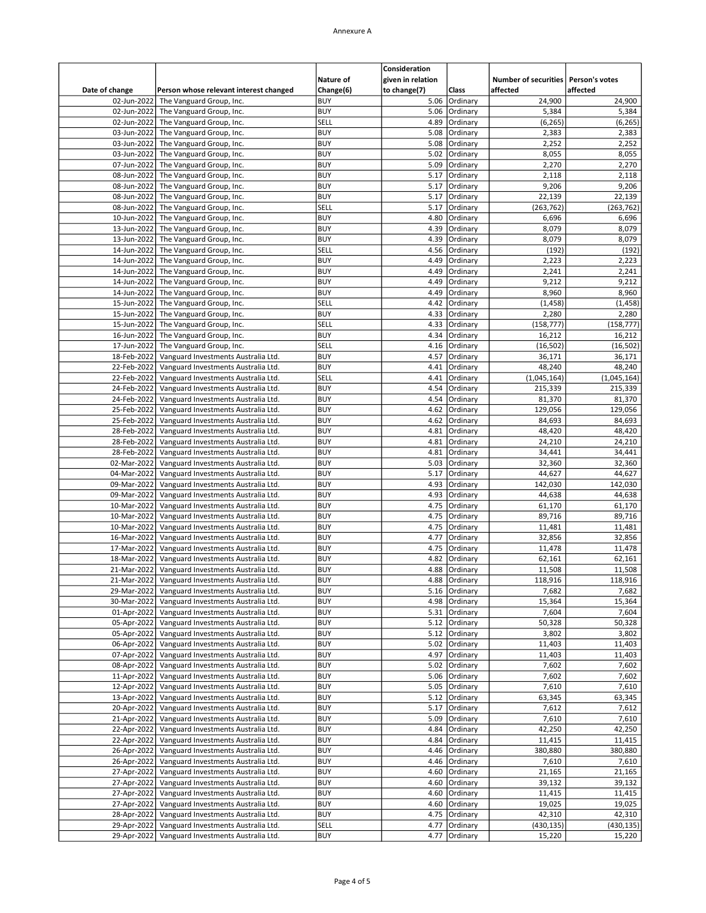|                               |                                                                            | Nature of                | Consideration<br>given in relation |                      | Number of securities   Person's votes<br>affected | affected             |
|-------------------------------|----------------------------------------------------------------------------|--------------------------|------------------------------------|----------------------|---------------------------------------------------|----------------------|
| Date of change<br>02-Jun-2022 | Person whose relevant interest changed<br>The Vanguard Group, Inc.         | Change(6)<br><b>BUY</b>  | to change(7)<br>5.06               | Class<br>Ordinary    | 24,900                                            | 24,900               |
| 02-Jun-2022                   | The Vanguard Group, Inc.                                                   | <b>BUY</b>               | 5.06                               | Ordinary             | 5,384                                             | 5,384                |
| 02-Jun-2022                   | The Vanguard Group, Inc.                                                   | SELL                     | 4.89                               | Ordinary             | (6, 265)                                          | (6, 265)             |
| 03-Jun-2022                   | The Vanguard Group, Inc.                                                   | <b>BUY</b>               | 5.08                               | Ordinary             | 2,383                                             | 2,383                |
| 03-Jun-2022                   | The Vanguard Group, Inc.                                                   | <b>BUY</b>               | 5.08                               | Ordinary             | 2,252                                             | 2,252                |
| 03-Jun-2022                   | The Vanguard Group, Inc.                                                   | <b>BUY</b>               | 5.02                               | Ordinary             | 8,055                                             | 8,055                |
| 07-Jun-2022                   | The Vanguard Group, Inc.                                                   | <b>BUY</b>               | 5.09                               | Ordinary             | 2,270                                             | 2,270                |
| 08-Jun-2022                   | The Vanguard Group, Inc.                                                   | <b>BUY</b>               | 5.17                               | Ordinary             | 2,118                                             | 2,118                |
| 08-Jun-2022                   | The Vanguard Group, Inc.                                                   | <b>BUY</b>               | 5.17                               | Ordinary             | 9,206                                             | 9,206                |
| 08-Jun-2022                   | The Vanguard Group, Inc.                                                   | <b>BUY</b>               | 5.17                               | Ordinary             | 22,139                                            | 22.139               |
| 08-Jun-2022<br>10-Jun-2022    | The Vanguard Group, Inc.<br>The Vanguard Group, Inc.                       | SELL<br><b>BUY</b>       | 5.17<br>4.80                       | Ordinary<br>Ordinary | (263, 762)<br>6,696                               | (263, 762)<br>6,696  |
| 13-Jun-2022                   | The Vanguard Group, Inc.                                                   | <b>BUY</b>               | 4.39                               | Ordinary             | 8,079                                             | 8,079                |
| 13-Jun-2022                   | The Vanguard Group, Inc.                                                   | <b>BUY</b>               | 4.39                               | Ordinary             | 8,079                                             | 8,079                |
| 14-Jun-2022                   | The Vanguard Group, Inc.                                                   | SELL                     | 4.56                               | Ordinary             | (192)                                             | (192)                |
| 14-Jun-2022                   | The Vanguard Group, Inc.                                                   | <b>BUY</b>               | 4.49                               | Ordinary             | 2,223                                             | 2,223                |
| 14-Jun-2022                   | The Vanguard Group, Inc.                                                   | <b>BUY</b>               | 4.49                               | Ordinary             | 2,241                                             | 2,241                |
| 14-Jun-2022                   | The Vanguard Group, Inc.                                                   | <b>BUY</b>               | 4.49                               | Ordinary             | 9,212                                             | 9,212                |
| 14-Jun-2022                   | The Vanguard Group, Inc.                                                   | <b>BUY</b>               | 4.49                               | Ordinary             | 8,960                                             | 8,960                |
| 15-Jun-2022                   | The Vanguard Group, Inc.                                                   | SELL                     | 4.42                               | Ordinary             | (1, 458)                                          | (1, 458)             |
| 15-Jun-2022                   | The Vanguard Group, Inc.                                                   | <b>BUY</b>               | 4.33                               | Ordinary             | 2,280                                             | 2,280                |
| 15-Jun-2022                   | The Vanguard Group, Inc.                                                   | SELL                     | 4.33                               | Ordinary             | (158, 777)                                        | (158, 777)           |
| 16-Jun-2022                   | The Vanguard Group, Inc.                                                   | <b>BUY</b>               | 4.34                               | Ordinary             | 16,212                                            | 16,212               |
| 17-Jun-2022                   | The Vanguard Group, Inc.                                                   | SELL                     | 4.16                               | Ordinary             | (16, 502)                                         | (16, 502)            |
| 18-Feb-2022                   | Vanguard Investments Australia Ltd.                                        | <b>BUY</b><br><b>BUY</b> | 4.57<br>4.41                       | Ordinary             | 36,171                                            | 36,171<br>48,240     |
| 22-Feb-2022<br>22-Feb-2022    | Vanguard Investments Australia Ltd.<br>Vanguard Investments Australia Ltd. | SELL                     | 4.41                               | Ordinary<br>Ordinary | 48,240<br>(1,045,164)                             | (1,045,164)          |
| 24-Feb-2022                   | Vanguard Investments Australia Ltd.                                        | <b>BUY</b>               | 4.54                               | Ordinary             | 215,339                                           | 215,339              |
| 24-Feb-2022                   | Vanguard Investments Australia Ltd.                                        | <b>BUY</b>               | 4.54                               | Ordinary             | 81,370                                            | 81,370               |
| 25-Feb-2022                   | Vanguard Investments Australia Ltd.                                        | <b>BUY</b>               | 4.62                               | Ordinary             | 129,056                                           | 129,056              |
| 25-Feb-2022                   | Vanguard Investments Australia Ltd.                                        | <b>BUY</b>               | 4.62                               | Ordinary             | 84,693                                            | 84,693               |
| 28-Feb-2022                   | Vanguard Investments Australia Ltd.                                        | <b>BUY</b>               | 4.81                               | Ordinary             | 48,420                                            | 48,420               |
| 28-Feb-2022                   | Vanguard Investments Australia Ltd.                                        | <b>BUY</b>               | 4.81                               | Ordinary             | 24,210                                            | 24,210               |
| 28-Feb-2022                   | Vanguard Investments Australia Ltd.                                        | <b>BUY</b>               | 4.81                               | Ordinary             | 34,441                                            | 34,441               |
| 02-Mar-2022                   | Vanguard Investments Australia Ltd.                                        | <b>BUY</b>               | 5.03                               | Ordinary             | 32,360                                            | 32,360               |
| 04-Mar-2022                   | Vanguard Investments Australia Ltd.                                        | <b>BUY</b>               | 5.17                               | Ordinary             | 44,627                                            | 44,627               |
| 09-Mar-2022                   | Vanguard Investments Australia Ltd.                                        | <b>BUY</b>               | 4.93                               | Ordinary             | 142,030                                           | 142,030              |
| 09-Mar-2022                   | Vanguard Investments Australia Ltd.                                        | <b>BUY</b>               | 4.93                               | Ordinary             | 44,638                                            | 44,638               |
| 10-Mar-2022                   | Vanguard Investments Australia Ltd.                                        | <b>BUY</b><br><b>BUY</b> | 4.75                               | Ordinary             | 61,170                                            | 61,170               |
| 10-Mar-2022<br>10-Mar-2022    | Vanguard Investments Australia Ltd.<br>Vanguard Investments Australia Ltd. | <b>BUY</b>               | 4.75<br>4.75                       | Ordinary<br>Ordinary | 89,716<br>11,481                                  | 89,716<br>11,481     |
| 16-Mar-2022                   | Vanguard Investments Australia Ltd.                                        | <b>BUY</b>               | 4.77                               | Ordinary             | 32,856                                            | 32,856               |
| 17-Mar-2022                   | Vanguard Investments Australia Ltd.                                        | <b>BUY</b>               | 4.75                               | Ordinary             | 11,478                                            | 11,478               |
| 18-Mar-2022                   | Vanguard Investments Australia Ltd.                                        | <b>BUY</b>               | 4.82                               | Ordinary             | 62,161                                            | 62,161               |
| 21-Mar-2022                   | Vanguard Investments Australia Ltd.                                        | <b>BUY</b>               | 4.88                               | Ordinary             | 11,508                                            | 11,508               |
| 21-Mar-2022                   | Vanguard Investments Australia Ltd.                                        | BUY                      |                                    | 4.88 Ordinary        | 118,916                                           | 118,916              |
| 29-Mar-2022                   | Vanguard Investments Australia Ltd.                                        | <b>BUY</b>               |                                    | 5.16 Ordinary        | 7,682                                             | 7,682                |
| 30-Mar-2022                   | Vanguard Investments Australia Ltd.                                        | <b>BUY</b>               | 4.98                               | Ordinary             | 15,364                                            | 15,364               |
| 01-Apr-2022                   | Vanguard Investments Australia Ltd.                                        | <b>BUY</b>               |                                    | 5.31 Ordinary        | 7,604                                             | 7,604                |
| 05-Apr-2022                   | Vanguard Investments Australia Ltd.                                        | <b>BUY</b>               | 5.12                               | Ordinary             | 50,328                                            | 50,328               |
| 05-Apr-2022                   | Vanguard Investments Australia Ltd.                                        | <b>BUY</b>               | 5.12                               | Ordinary             | 3,802                                             | 3,802                |
| 06-Apr-2022                   | Vanguard Investments Australia Ltd.                                        | <b>BUY</b>               | 5.02                               | Ordinary             | 11,403                                            | 11,403               |
| 07-Apr-2022                   | Vanguard Investments Australia Ltd.                                        | <b>BUY</b>               | 4.97                               | Ordinary             | 11,403                                            | 11,403               |
| 08-Apr-2022                   | Vanguard Investments Australia Ltd.                                        | <b>BUY</b><br><b>BUY</b> | 5.02                               | Ordinary             | 7,602                                             | 7,602                |
| 11-Apr-2022                   | Vanguard Investments Australia Ltd.                                        | <b>BUY</b>               | 5.06<br>5.05                       | Ordinary             | 7,602<br>7,610                                    | 7,602<br>7,610       |
| 12-Apr-2022<br>13-Apr-2022    | Vanguard Investments Australia Ltd.<br>Vanguard Investments Australia Ltd. | <b>BUY</b>               | 5.12                               | Ordinary<br>Ordinary | 63,345                                            | 63,345               |
| 20-Apr-2022                   | Vanguard Investments Australia Ltd.                                        | <b>BUY</b>               | 5.17                               | Ordinary             | 7,612                                             | 7,612                |
| 21-Apr-2022                   | Vanguard Investments Australia Ltd.                                        | <b>BUY</b>               | 5.09                               | Ordinary             | 7,610                                             | 7,610                |
| 22-Apr-2022                   | Vanguard Investments Australia Ltd.                                        | <b>BUY</b>               | 4.84                               | Ordinary             | 42,250                                            | 42,250               |
| 22-Apr-2022                   | Vanguard Investments Australia Ltd.                                        | <b>BUY</b>               | 4.84                               | Ordinary             | 11,415                                            | 11,415               |
| 26-Apr-2022                   | Vanguard Investments Australia Ltd.                                        | <b>BUY</b>               | 4.46                               | Ordinary             | 380,880                                           | 380,880              |
| 26-Apr-2022                   | Vanguard Investments Australia Ltd.                                        | <b>BUY</b>               | 4.46                               | Ordinary             | 7,610                                             | 7,610                |
| 27-Apr-2022                   | Vanguard Investments Australia Ltd.                                        | <b>BUY</b>               | 4.60                               | Ordinary             | 21,165                                            | 21,165               |
| 27-Apr-2022                   | Vanguard Investments Australia Ltd.                                        | <b>BUY</b>               | 4.60                               | Ordinary             | 39,132                                            | 39,132               |
| 27-Apr-2022                   | Vanguard Investments Australia Ltd.                                        | <b>BUY</b>               | 4.60                               | Ordinary             | 11,415                                            | 11,415               |
| 27-Apr-2022                   | Vanguard Investments Australia Ltd.                                        | <b>BUY</b>               | 4.60                               | Ordinary             | 19,025                                            | 19,025               |
| 28-Apr-2022                   | Vanguard Investments Australia Ltd.                                        | <b>BUY</b>               | 4.75                               | Ordinary             | 42,310                                            | 42,310               |
| 29-Apr-2022                   | Vanguard Investments Australia Ltd.<br>Vanguard Investments Australia Ltd. | SELL<br><b>BUY</b>       | 4.77<br>4.77                       | Ordinary             | (430,135)<br>15,220                               | (430, 135)<br>15,220 |
| 29-Apr-2022                   |                                                                            |                          |                                    | Ordinary             |                                                   |                      |